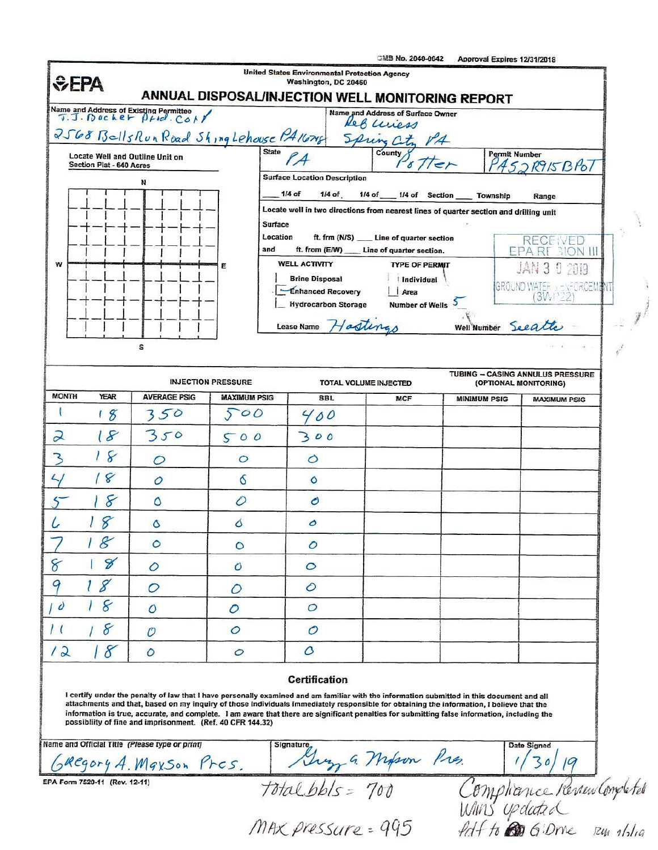|                                                                                                                                                        |                            |                            | <b>United States Environmental Protection Agency</b>                                                                                                                                                                                                                                                                                                                                                                                   | <b>CMB No. 2040-0042</b>                          | Approval Expires 12/31/2018 |                                       |  |
|--------------------------------------------------------------------------------------------------------------------------------------------------------|----------------------------|----------------------------|----------------------------------------------------------------------------------------------------------------------------------------------------------------------------------------------------------------------------------------------------------------------------------------------------------------------------------------------------------------------------------------------------------------------------------------|---------------------------------------------------|-----------------------------|---------------------------------------|--|
| <b>SEPA</b>                                                                                                                                            |                            |                            | Washington, DC 20460<br>ANNUAL DISPOSAL/INJECTION WELL MONITORING REPORT                                                                                                                                                                                                                                                                                                                                                               |                                                   |                             |                                       |  |
| Name and Address of Existing Permittee<br>$\overline{v}$ . $\overline{f}$ . $\overline{f}$ $v \in k$ e $\vdash$ $\beta$ $\vdash$ $e$ . $\zeta \circ f$ |                            |                            |                                                                                                                                                                                                                                                                                                                                                                                                                                        | Name and Address of Surface Owner                 |                             |                                       |  |
| 2568 BellsRun Road Shing Lehouse PA 1674                                                                                                               |                            |                            |                                                                                                                                                                                                                                                                                                                                                                                                                                        | Ref wiess<br>Spring City PA                       |                             |                                       |  |
| Locate Well and Outline Unit on                                                                                                                        |                            | <b>State</b>               |                                                                                                                                                                                                                                                                                                                                                                                                                                        | County &                                          | <b>Permit Number</b>        |                                       |  |
| Section Plat - 640 Acres<br>N                                                                                                                          |                            |                            | <b>Surface Location Description</b>                                                                                                                                                                                                                                                                                                                                                                                                    |                                                   |                             | ASJR915BP07                           |  |
|                                                                                                                                                        |                            |                            | $1/4$ of<br>$1/4$ of                                                                                                                                                                                                                                                                                                                                                                                                                   | 1/4 of 1/4 of Section                             | Township                    | Range                                 |  |
|                                                                                                                                                        |                            | <b>Surface</b>             | Locate well in two directions from nearest lines of quarter section and drilling unit                                                                                                                                                                                                                                                                                                                                                  |                                                   |                             |                                       |  |
|                                                                                                                                                        |                            | Location                   | ft. frm (N/S)                                                                                                                                                                                                                                                                                                                                                                                                                          | Line of quarter section                           |                             | <b>RECEIVED</b>                       |  |
| W                                                                                                                                                      |                            | and<br>Ε                   | ft. from (E/W)<br><b>WELL ACTIVITY</b>                                                                                                                                                                                                                                                                                                                                                                                                 | Line of quarter section.<br><b>TYPE OF PERMIT</b> |                             | <b>BION III</b><br>JAN 3<br>0<br>2019 |  |
|                                                                                                                                                        |                            |                            | <b>Brine Disposal</b><br><b>Enhanced Recovery</b>                                                                                                                                                                                                                                                                                                                                                                                      | Individual                                        |                             | GROUND WATER 3 ENFORGEMENT            |  |
|                                                                                                                                                        |                            |                            | <b>Hydrocarbon Storage</b>                                                                                                                                                                                                                                                                                                                                                                                                             | Area<br><b>Number of Wells</b>                    |                             | <b>3WF22</b>                          |  |
|                                                                                                                                                        |                            |                            | Hastings<br>Lease Name                                                                                                                                                                                                                                                                                                                                                                                                                 |                                                   | Well Number Seeatte         |                                       |  |
| s                                                                                                                                                      |                            |                            |                                                                                                                                                                                                                                                                                                                                                                                                                                        |                                                   |                             | $-\pi$                                |  |
|                                                                                                                                                        |                            |                            |                                                                                                                                                                                                                                                                                                                                                                                                                                        |                                                   |                             | TUBING - CASING ANNULUS PRESSURE      |  |
| <b>MONTH</b><br><b>YEAR</b>                                                                                                                            | <b>INJECTION PRESSURE</b>  |                            | TOTAL VOLUME INJECTED                                                                                                                                                                                                                                                                                                                                                                                                                  |                                                   |                             | (OPTIONAL MONITORING)                 |  |
| $\mathcal{E}$                                                                                                                                          | <b>AVERAGE PSIG</b><br>350 | <b>MAXIMUM PSIG</b><br>500 | <b>BBL</b><br>00                                                                                                                                                                                                                                                                                                                                                                                                                       | MCF                                               | <b>MINIMUM PSIG</b>         | <b>MAXIMUM PSIG</b>                   |  |
| $\overline{\mathcal{L}}$<br>18                                                                                                                         | 350                        | 500                        | 300                                                                                                                                                                                                                                                                                                                                                                                                                                    |                                                   |                             |                                       |  |
| 8<br>3                                                                                                                                                 | 0                          | $\circ$                    | $\circ$                                                                                                                                                                                                                                                                                                                                                                                                                                |                                                   |                             |                                       |  |
| 8                                                                                                                                                      | $\mathcal O$               | Ó                          | ٥                                                                                                                                                                                                                                                                                                                                                                                                                                      |                                                   |                             |                                       |  |
| 8                                                                                                                                                      | ٥                          | 0                          | $\mathcal{O}$                                                                                                                                                                                                                                                                                                                                                                                                                          |                                                   |                             |                                       |  |
| 8                                                                                                                                                      | Ô                          | δ                          | Ο                                                                                                                                                                                                                                                                                                                                                                                                                                      |                                                   |                             |                                       |  |
| $\mathscr E$                                                                                                                                           | $\circ$                    | $\circ$                    | $\mathcal{O}$                                                                                                                                                                                                                                                                                                                                                                                                                          |                                                   |                             |                                       |  |
| 8<br>$\gamma$                                                                                                                                          | $\mathcal O$               | $\mathcal{O}$              | $\circ$                                                                                                                                                                                                                                                                                                                                                                                                                                |                                                   |                             |                                       |  |
| 8                                                                                                                                                      | $\mathcal{O}$              | O                          | $\circ$                                                                                                                                                                                                                                                                                                                                                                                                                                |                                                   |                             |                                       |  |
| 8<br>$\overline{\prime}$                                                                                                                               | $\circ$                    | 0                          | $\circ$                                                                                                                                                                                                                                                                                                                                                                                                                                |                                                   |                             |                                       |  |
| 8<br>$\prime$ (                                                                                                                                        | $\mathcal O$               | $\circ$                    | $\mathcal O$                                                                                                                                                                                                                                                                                                                                                                                                                           |                                                   |                             |                                       |  |
| 8<br>12                                                                                                                                                | $\circ$                    | $\circ$                    | $\mathcal{O}$                                                                                                                                                                                                                                                                                                                                                                                                                          |                                                   |                             |                                       |  |
|                                                                                                                                                        |                            |                            | <b>Certification</b>                                                                                                                                                                                                                                                                                                                                                                                                                   |                                                   |                             |                                       |  |
|                                                                                                                                                        |                            |                            | I certify under the penalty of law that I have personally examined and am familiar with the information submitted in this document and all<br>attachments and that, based on my inquiry of those individuals immediately responsible for obtaining the information, I believe that the<br>information is true, accurate, and complete. I am aware that there are significant penalties for submitting false information, including the |                                                   |                             |                                       |  |
| possibliity of fine and imprisonment. (Ref. 40 CFR 144.32)                                                                                             |                            |                            | Signature                                                                                                                                                                                                                                                                                                                                                                                                                              |                                                   |                             | Date Signed                           |  |
| Name and Official Title (Please type or print)<br>GREGORY A. MAXSON Pres.                                                                              |                            |                            | Grego a Milson Pres.                                                                                                                                                                                                                                                                                                                                                                                                                   |                                                   |                             |                                       |  |